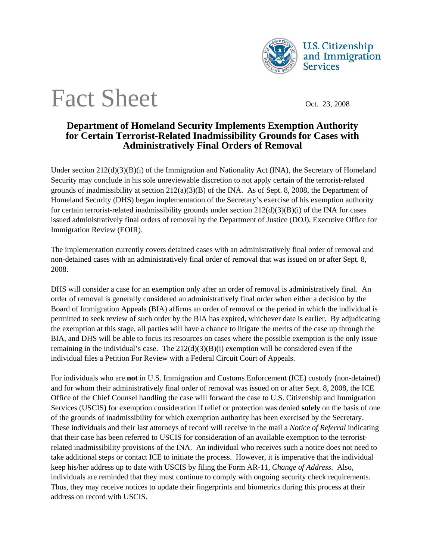

## Fact Sheet Oct. 23, 2008

## **Department of Homeland Security Implements Exemption Authority for Certain Terrorist-Related Inadmissibility Grounds for Cases with Administratively Final Orders of Removal**

Under section  $212(d)(3)(B)(i)$  of the Immigration and Nationality Act (INA), the Secretary of Homeland Security may conclude in his sole unreviewable discretion to not apply certain of the terrorist-related grounds of inadmissibility at section  $212(a)(3)(B)$  of the INA. As of Sept. 8, 2008, the Department of Homeland Security (DHS) began implementation of the Secretary's exercise of his exemption authority for certain terrorist-related inadmissibility grounds under section  $212(d)(3)(B)(i)$  of the INA for cases issued administratively final orders of removal by the Department of Justice (DOJ), Executive Office for Immigration Review (EOIR).

The implementation currently covers detained cases with an administratively final order of removal and non-detained cases with an administratively final order of removal that was issued on or after Sept. 8, 2008.

DHS will consider a case for an exemption only after an order of removal is administratively final. An order of removal is generally considered an administratively final order when either a decision by the Board of Immigration Appeals (BIA) affirms an order of removal or the period in which the individual is permitted to seek review of such order by the BIA has expired, whichever date is earlier. By adjudicating the exemption at this stage, all parties will have a chance to litigate the merits of the case up through the BIA, and DHS will be able to focus its resources on cases where the possible exemption is the only issue remaining in the individual's case. The  $212(d)(3)(B)(i)$  exemption will be considered even if the individual files a Petition For Review with a Federal Circuit Court of Appeals.

For individuals who are **not** in U.S. Immigration and Customs Enforcement (ICE) custody (non-detained) and for whom their administratively final order of removal was issued on or after Sept. 8, 2008, the ICE Office of the Chief Counsel handling the case will forward the case to U.S. Citizenship and Immigration Services (USCIS) for exemption consideration if relief or protection was denied **solely** on the basis of one of the grounds of inadmissibility for which exemption authority has been exercised by the Secretary. These individuals and their last attorneys of record will receive in the mail a *Notice of Referral* indicating that their case has been referred to USCIS for consideration of an available exemption to the terroristrelated inadmissibility provisions of the INA. An individual who receives such a notice does not need to take additional steps or contact ICE to initiate the process. However, it is imperative that the individual keep his/her address up to date with USCIS by filing the Form AR-11, *Change of Address*. Also, individuals are reminded that they must continue to comply with ongoing security check requirements. Thus, they may receive notices to update their fingerprints and biometrics during this process at their address on record with USCIS.